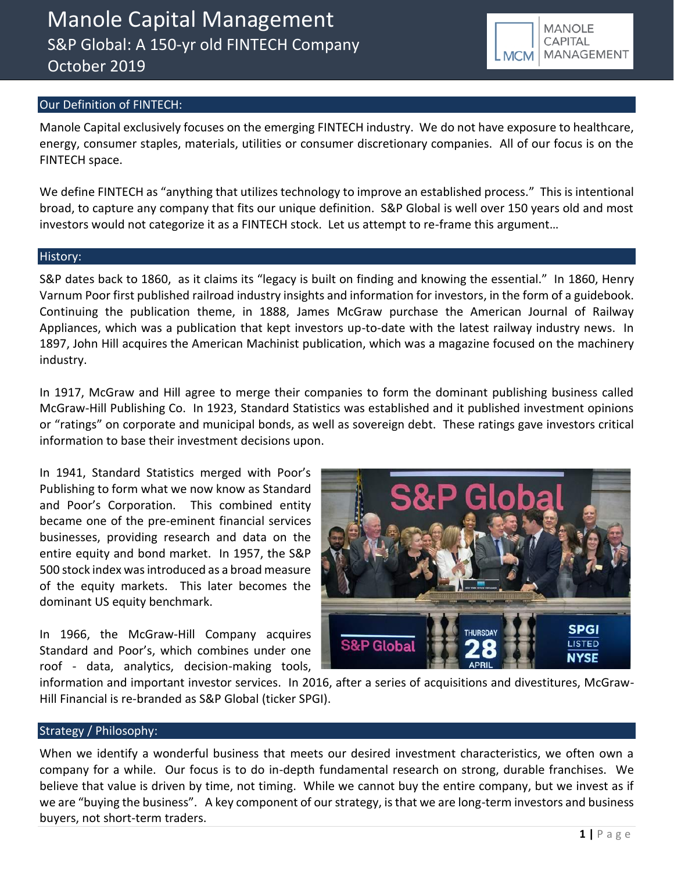## Our Definition of FINTECH:

Manole Capital exclusively focuses on the emerging FINTECH industry. We do not have exposure to healthcare, energy, consumer staples, materials, utilities or consumer discretionary companies. All of our focus is on the FINTECH space.

We define FINTECH as "anything that utilizes technology to improve an established process." This is intentional broad, to capture any company that fits our unique definition. S&P Global is well over 150 years old and most investors would not categorize it as a FINTECH stock. Let us attempt to re-frame this argument…

### History:

S&P dates back to 1860, as it claims its "legacy is built on finding and knowing the essential." In 1860, Henry Varnum Poor first published railroad industry insights and information for investors, in the form of a guidebook. Continuing the publication theme, in 1888, James McGraw purchase the American Journal of Railway Appliances, which was a publication that kept investors up-to-date with the latest railway industry news. In 1897, John Hill acquires the American Machinist publication, which was a magazine focused on the machinery industry.

In 1917, McGraw and Hill agree to merge their companies to form the dominant publishing business called McGraw-Hill Publishing Co. In 1923, Standard Statistics was established and it published investment opinions or "ratings" on corporate and municipal bonds, as well as sovereign debt. These ratings gave investors critical information to base their investment decisions upon.

In 1941, Standard Statistics merged with Poor's Publishing to form what we now know as Standard and Poor's Corporation. This combined entity became one of the pre-eminent financial services businesses, providing research and data on the entire equity and bond market. In 1957, the S&P 500 stock index was introduced as a broad measure of the equity markets. This later becomes the dominant US equity benchmark.

In 1966, the McGraw-Hill Company acquires Standard and Poor's, which combines under one roof - data, analytics, decision-making tools,



information and important investor services. In 2016, after a series of acquisitions and divestitures, McGraw-Hill Financial is re-branded as S&P Global (ticker SPGI).

### Strategy / Philosophy:

When we identify a wonderful business that meets our desired investment characteristics, we often own a company for a while. Our focus is to do in-depth fundamental research on strong, durable franchises. We believe that value is driven by time, not timing. While we cannot buy the entire company, but we invest as if we are "buying the business". A key component of our strategy, is that we are long-term investors and business buyers, not short-term traders.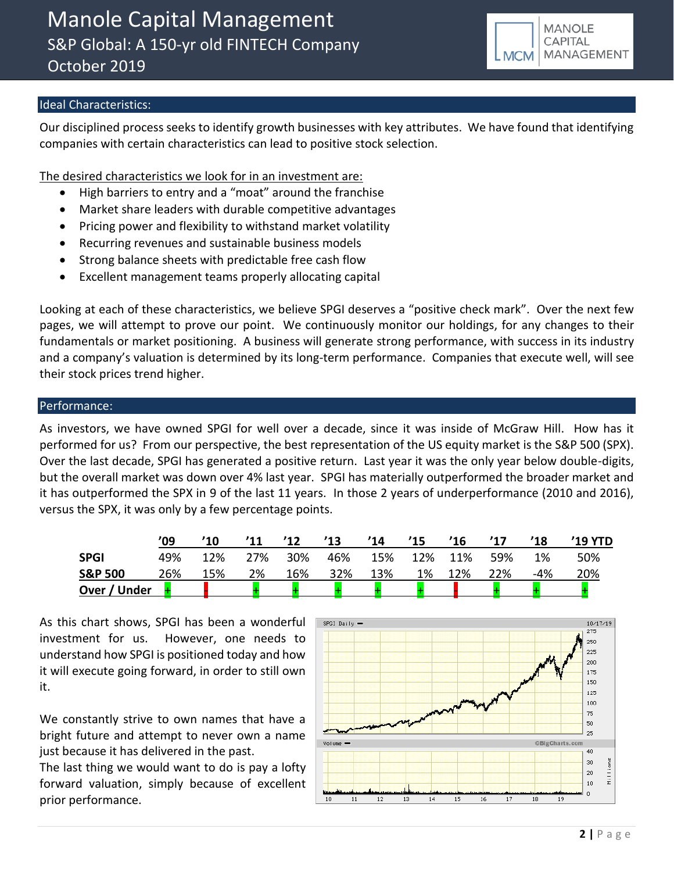# Ideal Characteristics:

Our disciplined process seeks to identify growth businesses with key attributes. We have found that identifying companies with certain characteristics can lead to positive stock selection.

The desired characteristics we look for in an investment are:

- High barriers to entry and a "moat" around the franchise
- Market share leaders with durable competitive advantages
- Pricing power and flexibility to withstand market volatility
- Recurring revenues and sustainable business models
- Strong balance sheets with predictable free cash flow
- Excellent management teams properly allocating capital

Looking at each of these characteristics, we believe SPGI deserves a "positive check mark". Over the next few pages, we will attempt to prove our point. We continuously monitor our holdings, for any changes to their fundamentals or market positioning. A business will generate strong performance, with success in its industry and a company's valuation is determined by its long-term performance. Companies that execute well, will see their stock prices trend higher.

## Performance:

As investors, we have owned SPGI for well over a decade, since it was inside of McGraw Hill. How has it performed for us? From our perspective, the best representation of the US equity market is the S&P 500 (SPX). Over the last decade, SPGI has generated a positive return. Last year it was the only year below double-digits, but the overall market was down over 4% last year. SPGI has materially outperformed the broader market and it has outperformed the SPX in 9 of the last 11 years. In those 2 years of underperformance (2010 and 2016), versus the SPX, it was only by a few percentage points.

|                    | '09 | $^{\prime}10$ | '11 | '12 | '13 | '14 | '15 | '16 | '17 | '18   | $'19$ YTD |
|--------------------|-----|---------------|-----|-----|-----|-----|-----|-----|-----|-------|-----------|
| <b>SPGI</b>        | 49% | 12%           | 27% | 30% | 46% | 15% | 12% | 11% | 59% | 1%    | 50%       |
| <b>S&amp;P 500</b> | 26% | 15%           | 2%  | 16% | 32% | 13% | 1%  | 12% | 22% | $-4%$ | 20%       |
| Over / Under       |     |               |     |     |     |     |     |     |     |       |           |

As this chart shows, SPGI has been a wonderful investment for us. However, one needs to understand how SPGI is positioned today and how it will execute going forward, in order to still own it.

We constantly strive to own names that have a bright future and attempt to never own a name just because it has delivered in the past.

The last thing we would want to do is pay a lofty forward valuation, simply because of excellent prior performance.

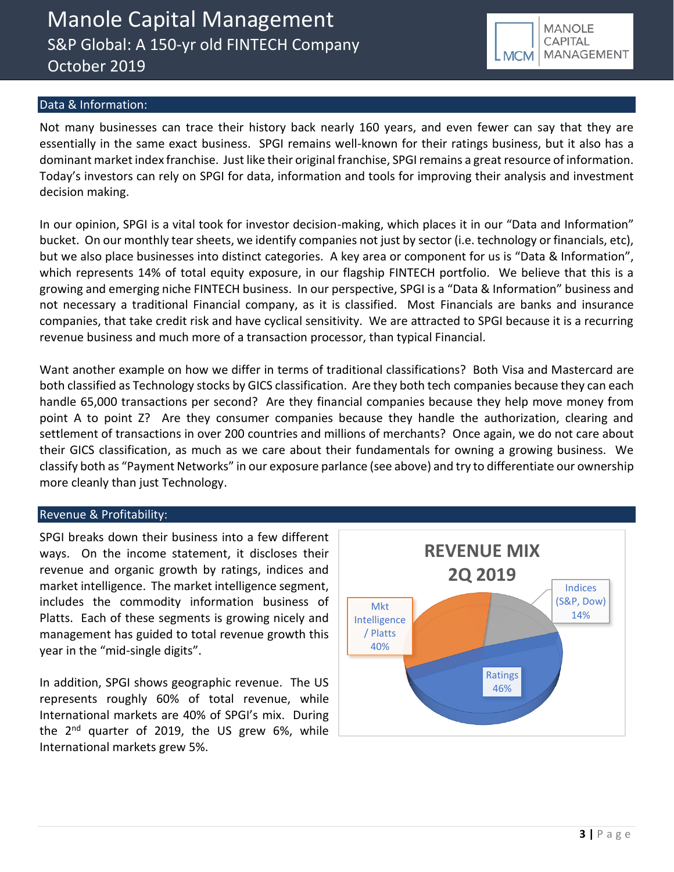**MANOLE CAPITAL** MANAGEMENT **LMCM** 

### Data & Information:

Not many businesses can trace their history back nearly 160 years, and even fewer can say that they are essentially in the same exact business. SPGI remains well-known for their ratings business, but it also has a dominant market index franchise. Just like their original franchise, SPGI remains a great resource of information. Today's investors can rely on SPGI for data, information and tools for improving their analysis and investment decision making.

In our opinion, SPGI is a vital took for investor decision-making, which places it in our "Data and Information" bucket. On our monthly tear sheets, we identify companies not just by sector (i.e. technology or financials, etc), but we also place businesses into distinct categories. A key area or component for us is "Data & Information", which represents 14% of total equity exposure, in our flagship FINTECH portfolio. We believe that this is a growing and emerging niche FINTECH business. In our perspective, SPGI is a "Data & Information" business and not necessary a traditional Financial company, as it is classified. Most Financials are banks and insurance companies, that take credit risk and have cyclical sensitivity. We are attracted to SPGI because it is a recurring revenue business and much more of a transaction processor, than typical Financial.

Want another example on how we differ in terms of traditional classifications? Both Visa and Mastercard are both classified as Technology stocks by GICS classification. Are they both tech companies because they can each handle 65,000 transactions per second? Are they financial companies because they help move money from point A to point Z? Are they consumer companies because they handle the authorization, clearing and settlement of transactions in over 200 countries and millions of merchants? Once again, we do not care about their GICS classification, as much as we care about their fundamentals for owning a growing business. We classify both as "Payment Networks" in our exposure parlance (see above) and try to differentiate our ownership more cleanly than just Technology.

### Revenue & Profitability:

SPGI breaks down their business into a few different ways. On the income statement, it discloses their revenue and organic growth by ratings, indices and market intelligence. The market intelligence segment, includes the commodity information business of Platts. Each of these segments is growing nicely and management has guided to total revenue growth this year in the "mid-single digits".

In addition, SPGI shows geographic revenue. The US represents roughly 60% of total revenue, while International markets are 40% of SPGI's mix. During the  $2^{nd}$  quarter of 2019, the US grew 6%, while International markets grew 5%.

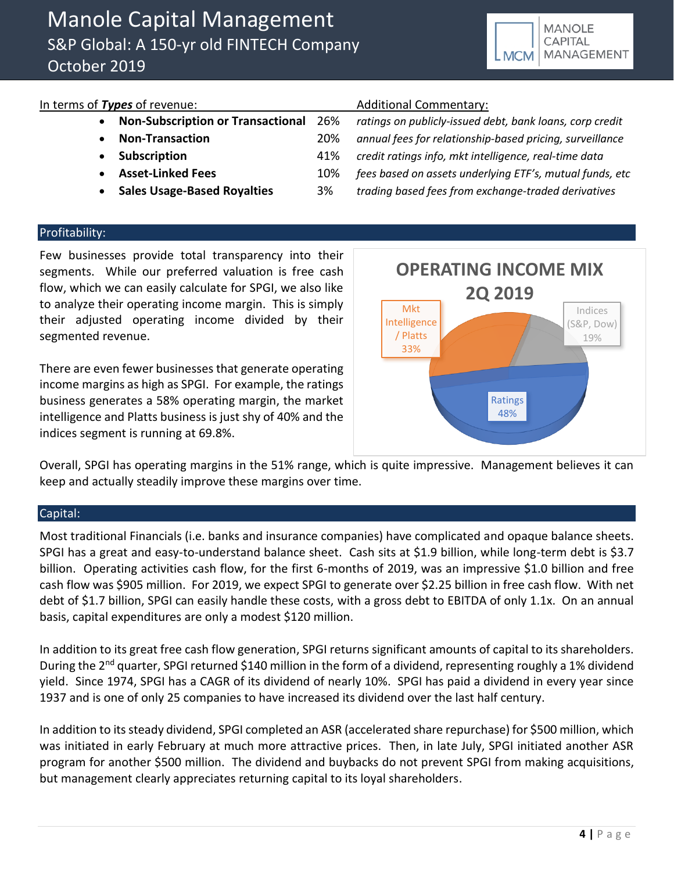# In terms of *Types* of revenue: Additional Commentary:

- 
- 

• **Non-Subscription or Transactional** 26% *ratings on publicly-issued debt, bank loans, corp credit* • **Non-Transaction** 20% *annual fees for relationship-based pricing, surveillance* • **Subscription** 41% *credit ratings info, mkt intelligence, real-time data* • **Asset-Linked Fees** 10% *fees based on assets underlying ETF's, mutual funds, etc* • **Sales Usage-Based Royalties** 3% *trading based fees from exchange-traded derivatives*

## Profitability:

Few businesses provide total transparency into their segments. While our preferred valuation is free cash flow, which we can easily calculate for SPGI, we also like to analyze their operating income margin. This is simply their adjusted operating income divided by their segmented revenue.

There are even fewer businesses that generate operating income margins as high as SPGI. For example, the ratings business generates a 58% operating margin, the market intelligence and Platts business is just shy of 40% and the indices segment is running at 69.8%.



Overall, SPGI has operating margins in the 51% range, which is quite impressive. Management believes it can keep and actually steadily improve these margins over time.

### Capital:

Most traditional Financials (i.e. banks and insurance companies) have complicated and opaque balance sheets. SPGI has a great and easy-to-understand balance sheet. Cash sits at \$1.9 billion, while long-term debt is \$3.7 billion. Operating activities cash flow, for the first 6-months of 2019, was an impressive \$1.0 billion and free cash flow was \$905 million. For 2019, we expect SPGI to generate over \$2.25 billion in free cash flow. With net debt of \$1.7 billion, SPGI can easily handle these costs, with a gross debt to EBITDA of only 1.1x. On an annual basis, capital expenditures are only a modest \$120 million.

In addition to its great free cash flow generation, SPGI returns significant amounts of capital to its shareholders. During the 2<sup>nd</sup> quarter, SPGI returned \$140 million in the form of a dividend, representing roughly a 1% dividend yield. Since 1974, SPGI has a CAGR of its dividend of nearly 10%. SPGI has paid a dividend in every year since 1937 and is one of only 25 companies to have increased its dividend over the last half century.

In addition to its steady dividend, SPGI completed an ASR (accelerated share repurchase) for \$500 million, which was initiated in early February at much more attractive prices. Then, in late July, SPGI initiated another ASR program for another \$500 million. The dividend and buybacks do not prevent SPGI from making acquisitions, but management clearly appreciates returning capital to its loyal shareholders.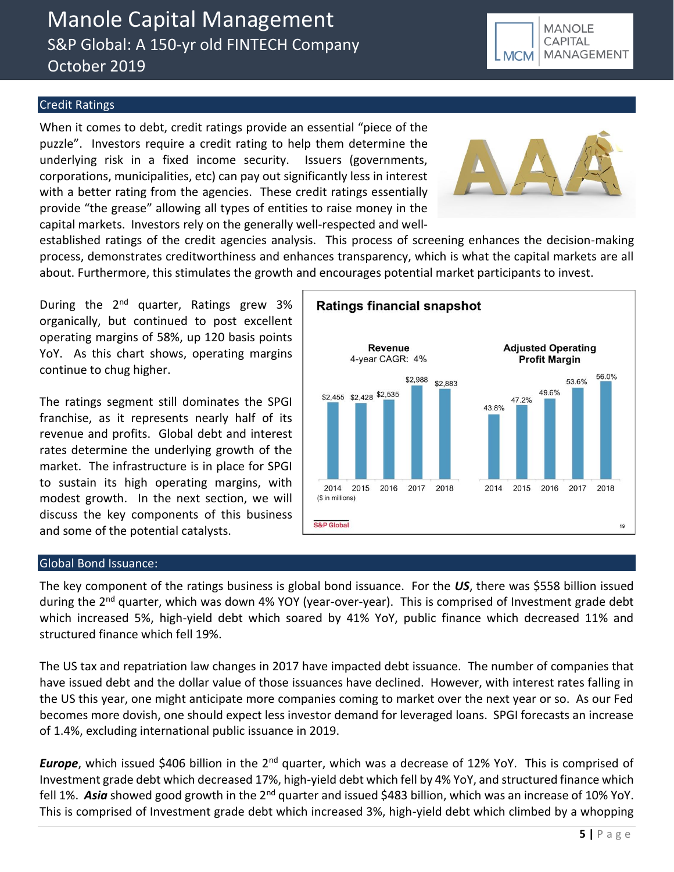# Manole Capital Management S&P Global: A 150-yr old FINTECH Company October 2019

# Credit Ratings

When it comes to debt, credit ratings provide an essential "piece of the puzzle". Investors require a credit rating to help them determine the underlying risk in a fixed income security. Issuers (governments, corporations, municipalities, etc) can pay out significantly less in interest with a better rating from the agencies. These credit ratings essentially provide "the grease" allowing all types of entities to raise money in the capital markets. Investors rely on the generally well-respected and well-



established ratings of the credit agencies analysis. This process of screening enhances the decision-making process, demonstrates creditworthiness and enhances transparency, which is what the capital markets are all about. Furthermore, this stimulates the growth and encourages potential market participants to invest.

During the  $2^{nd}$  quarter, Ratings grew 3% organically, but continued to post excellent operating margins of 58%, up 120 basis points YoY. As this chart shows, operating margins continue to chug higher.

The ratings segment still dominates the SPGI franchise, as it represents nearly half of its revenue and profits. Global debt and interest rates determine the underlying growth of the market. The infrastructure is in place for SPGI to sustain its high operating margins, with modest growth. In the next section, we will discuss the key components of this business and some of the potential catalysts.



## Global Bond Issuance:

The key component of the ratings business is global bond issuance. For the *US*, there was \$558 billion issued during the 2<sup>nd</sup> quarter, which was down 4% YOY (year-over-year). This is comprised of Investment grade debt which increased 5%, high-yield debt which soared by 41% YoY, public finance which decreased 11% and structured finance which fell 19%.

The US tax and repatriation law changes in 2017 have impacted debt issuance. The number of companies that have issued debt and the dollar value of those issuances have declined. However, with interest rates falling in the US this year, one might anticipate more companies coming to market over the next year or so. As our Fed becomes more dovish, one should expect less investor demand for leveraged loans. SPGI forecasts an increase of 1.4%, excluding international public issuance in 2019.

*Europe*, which issued \$406 billion in the 2<sup>nd</sup> quarter, which was a decrease of 12% YoY. This is comprised of Investment grade debt which decreased 17%, high-yield debt which fell by 4% YoY, and structured finance which fell 1%. Asia showed good growth in the 2<sup>nd</sup> quarter and issued \$483 billion, which was an increase of 10% YoY. This is comprised of Investment grade debt which increased 3%, high-yield debt which climbed by a whopping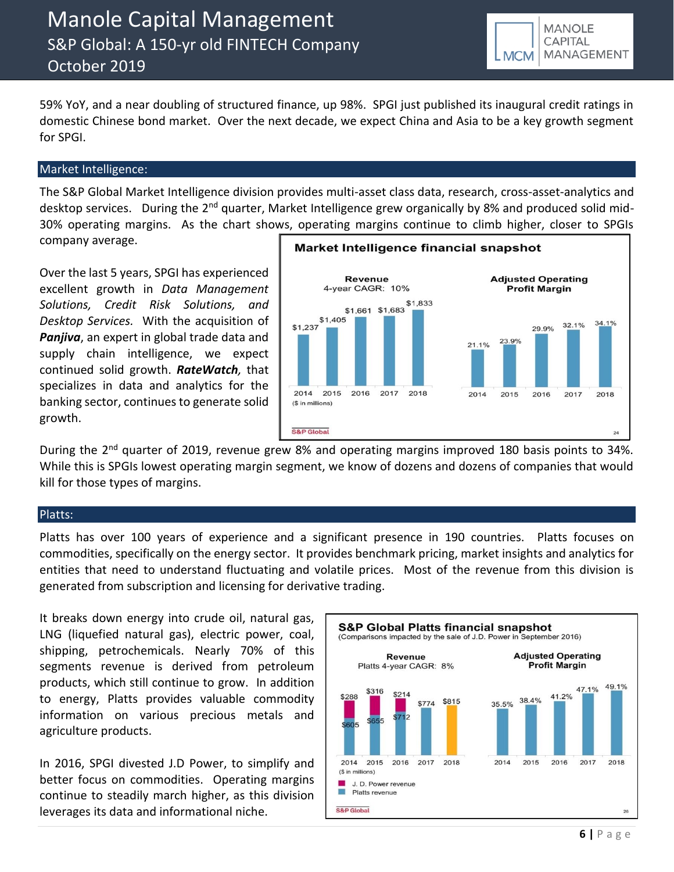**MANOLE** CAPITAL MANAGEMENT **MCM** 

59% YoY, and a near doubling of structured finance, up 98%. SPGI just published its inaugural credit ratings in domestic Chinese bond market. Over the next decade, we expect China and Asia to be a key growth segment for SPGI.

### Market Intelligence:

The S&P Global Market Intelligence division provides multi-asset class data, research, cross-asset-analytics and desktop services. During the 2<sup>nd</sup> quarter, Market Intelligence grew organically by 8% and produced solid mid-30% operating margins. As the chart shows, operating margins continue to climb higher, closer to SPGIs company average.

Over the last 5 years, SPGI has experienced excellent growth in *Data Management Solutions, Credit Risk Solutions, and Desktop Services.* With the acquisition of *Panjiva*, an expert in global trade data and supply chain intelligence, we expect continued solid growth. *RateWatch,* that specializes in data and analytics for the banking sector, continues to generate solid growth.



During the 2<sup>nd</sup> quarter of 2019, revenue grew 8% and operating margins improved 180 basis points to 34%. While this is SPGIs lowest operating margin segment, we know of dozens and dozens of companies that would kill for those types of margins.

### Platts:

Platts has over 100 years of experience and a significant presence in 190 countries. Platts focuses on commodities, specifically on the energy sector. It provides benchmark pricing, market insights and analytics for entities that need to understand fluctuating and volatile prices. Most of the revenue from this division is generated from subscription and licensing for derivative trading.

It breaks down energy into crude oil, natural gas, LNG (liquefied natural gas), electric power, coal, shipping, petrochemicals. Nearly 70% of this segments revenue is derived from petroleum products, which still continue to grow. In addition to energy, Platts provides valuable commodity information on various precious metals and agriculture products.

In 2016, SPGI divested J.D Power, to simplify and better focus on commodities. Operating margins continue to steadily march higher, as this division leverages its data and informational niche.

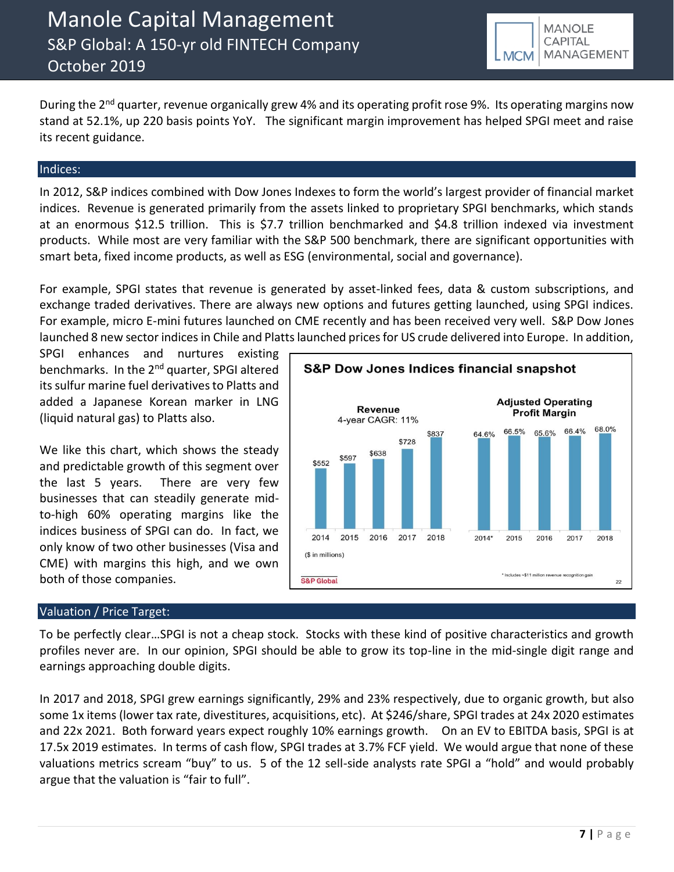During the 2<sup>nd</sup> quarter, revenue organically grew 4% and its operating profit rose 9%. Its operating margins now stand at 52.1%, up 220 basis points YoY. The significant margin improvement has helped SPGI meet and raise its recent guidance.

### Indices:

In 2012, S&P indices combined with Dow Jones Indexes to form the world's largest provider of financial market indices. Revenue is generated primarily from the assets linked to proprietary SPGI benchmarks, which stands at an enormous \$12.5 trillion. This is \$7.7 trillion benchmarked and \$4.8 trillion indexed via investment products. While most are very familiar with the S&P 500 benchmark, there are significant opportunities with smart beta, fixed income products, as well as ESG (environmental, social and governance).

For example, SPGI states that revenue is generated by asset-linked fees, data & custom subscriptions, and exchange traded derivatives. There are always new options and futures getting launched, using SPGI indices. For example, micro E-mini futures launched on CME recently and has been received very well. S&P Dow Jones launched 8 new sector indices in Chile and Platts launched prices for US crude delivered into Europe. In addition,

SPGI enhances and nurtures existing benchmarks. In the 2<sup>nd</sup> quarter, SPGI altered its sulfur marine fuel derivatives to Platts and added a Japanese Korean marker in LNG (liquid natural gas) to Platts also.

We like this chart, which shows the steady and predictable growth of this segment over the last 5 years. There are very few businesses that can steadily generate midto-high 60% operating margins like the indices business of SPGI can do. In fact, we only know of two other businesses (Visa and CME) with margins this high, and we own both of those companies.

# Valuation / Price Target:

**S&P Dow Jones Indices financial snapshot Adiusted Operating Revenue Profit Margin** 4-year CAGR: 11% 68.0% 66.4% 66.5% 65.6% \$837 64.6% \$728 \$638 \$597 \$552 2014 2015 2016 2017 2018  $2014*$ 2015 2016 2017 2018 (\$ in millions) \* Includes ~\$11 million rev S&P Global  $\overline{22}$ 

To be perfectly clear…SPGI is not a cheap stock. Stocks with these kind of positive characteristics and growth profiles never are. In our opinion, SPGI should be able to grow its top-line in the mid-single digit range and earnings approaching double digits.

In 2017 and 2018, SPGI grew earnings significantly, 29% and 23% respectively, due to organic growth, but also some 1x items (lower tax rate, divestitures, acquisitions, etc). At \$246/share, SPGI trades at 24x 2020 estimates and 22x 2021. Both forward years expect roughly 10% earnings growth. On an EV to EBITDA basis, SPGI is at 17.5x 2019 estimates. In terms of cash flow, SPGI trades at 3.7% FCF yield. We would argue that none of these valuations metrics scream "buy" to us. 5 of the 12 sell-side analysts rate SPGI a "hold" and would probably argue that the valuation is "fair to full".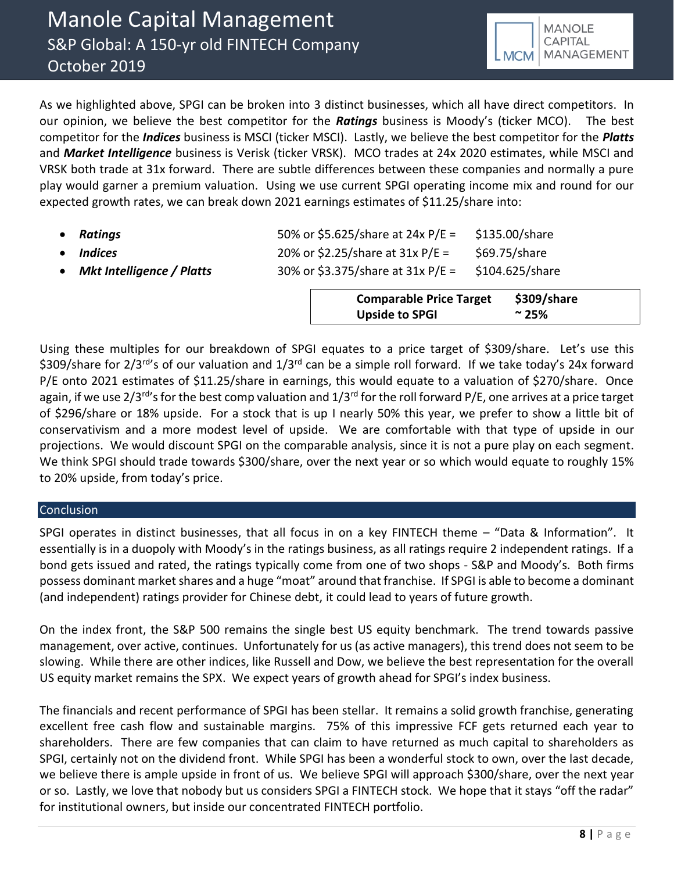As we highlighted above, SPGI can be broken into 3 distinct businesses, which all have direct competitors. In our opinion, we believe the best competitor for the *Ratings* business is Moody's (ticker MCO). The best competitor for the *Indices* business is MSCI (ticker MSCI). Lastly, we believe the best competitor for the *Platts* and *Market Intelligence* business is Verisk (ticker VRSK). MCO trades at 24x 2020 estimates, while MSCI and VRSK both trade at 31x forward. There are subtle differences between these companies and normally a pure play would garner a premium valuation. Using we use current SPGI operating income mix and round for our expected growth rates, we can break down 2021 earnings estimates of \$11.25/share into:

| Ratings                          | 50% or \$5.625/share at 24x P/E =   | \$135.00/share  |
|----------------------------------|-------------------------------------|-----------------|
| Indices                          | 20% or \$2.25/share at $31x P/E =$  | \$69.75/share   |
| <b>Mkt Intelligence / Platts</b> | 30% or \$3.375/share at $31x P/E =$ | \$104.625/share |

**Comparable Price Target \$309/share Upside to SPGI ~ 25%**

Using these multiples for our breakdown of SPGI equates to a price target of \$309/share. Let's use this \$309/share for 2/3<sup>rd</sup>'s of our valuation and 1/3<sup>rd</sup> can be a simple roll forward. If we take today's 24x forward P/E onto 2021 estimates of \$11.25/share in earnings, this would equate to a valuation of \$270/share. Once again, if we use  $2/3^{rd}$ 's for the best comp valuation and  $1/3^{rd}$  for the roll forward P/E, one arrives at a price target of \$296/share or 18% upside. For a stock that is up I nearly 50% this year, we prefer to show a little bit of conservativism and a more modest level of upside. We are comfortable with that type of upside in our projections. We would discount SPGI on the comparable analysis, since it is not a pure play on each segment. We think SPGI should trade towards \$300/share, over the next year or so which would equate to roughly 15% to 20% upside, from today's price.

# **Conclusion**

SPGI operates in distinct businesses, that all focus in on a key FINTECH theme – "Data & Information". It essentially is in a duopoly with Moody's in the ratings business, as all ratings require 2 independent ratings. If a bond gets issued and rated, the ratings typically come from one of two shops - S&P and Moody's. Both firms possess dominant market shares and a huge "moat" around that franchise. If SPGI is able to become a dominant (and independent) ratings provider for Chinese debt, it could lead to years of future growth.

On the index front, the S&P 500 remains the single best US equity benchmark. The trend towards passive management, over active, continues. Unfortunately for us (as active managers), this trend does not seem to be slowing. While there are other indices, like Russell and Dow, we believe the best representation for the overall US equity market remains the SPX. We expect years of growth ahead for SPGI's index business.

The financials and recent performance of SPGI has been stellar. It remains a solid growth franchise, generating excellent free cash flow and sustainable margins. 75% of this impressive FCF gets returned each year to shareholders. There are few companies that can claim to have returned as much capital to shareholders as SPGI, certainly not on the dividend front. While SPGI has been a wonderful stock to own, over the last decade, we believe there is ample upside in front of us. We believe SPGI will approach \$300/share, over the next year or so. Lastly, we love that nobody but us considers SPGI a FINTECH stock. We hope that it stays "off the radar" for institutional owners, but inside our concentrated FINTECH portfolio.